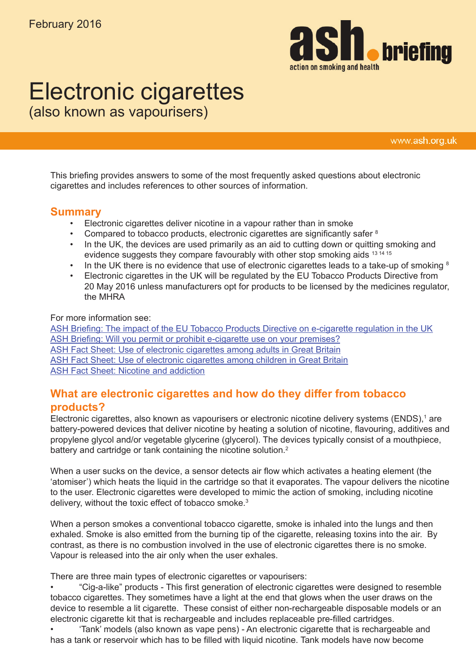

# Electronic cigarettes

(also known as vapourisers)

www.ash.org.uk

This briefing provides answers to some of the most frequently asked questions about electronic cigarettes and includes references to other sources of information.

### **Summary**

- Electronic cigarettes deliver nicotine in a vapour rather than in smoke
- Compared to tobacco products, electronic cigarettes are significantly safer <sup>8</sup>
- In the UK, the devices are used primarily as an aid to cutting down or quitting smoking and evidence suggests they compare favourably with other stop smoking aids <sup>13 14 15</sup>
- In the UK there is no evidence that use of electronic cigarettes leads to a take-up of smoking  $8$
- Electronic cigarettes in the UK will be regulated by the EU Tobacco Products Directive from 20 May 2016 unless manufacturers opt for products to be licensed by the medicines regulator, the MHRA

#### For more information see:

[ASH Briefing: The impact of the EU Tobacco Products Directive on e-cigarette regulation in the UK](http://www.ash.org.uk/information-and-resources/briefings/the-impact-of-the-eu-tobacco-products-directive-on-e-cigarette-regulation-in-the-uk-2/) [ASH Briefing: Will you permit or prohibit e-cigarette use on your premises?](http://www.ash.org.uk/information-and-resources/briefings/will-you-permit-or-prohibit-e-cigarette-use-on-your-premises/) [ASH Fact Sheet: Use of electronic cigarettes among adults in Great Britain](http://www.ash.org.uk/information-and-resources/fact-sheets/use-of-electronic-cigarettes-vapourisers-among-adults-in-great-britain/) [ASH Fact Sheet: Use of electronic cigarettes among children in Great Britain](http://www.ash.org.uk/information-and-resources/fact-sheets/use-of-electronic-cigarettes-vapourisers-among-children-in-great-britain/) [ASH Fact Sheet: Nicotine and addiction](http://www.ash.org.uk/download/nicotine-and-addiction/)

## **What are electronic cigarettes and how do they differ from tobacco products?**

Electronic cigarettes, also known as vapourisers or electronic nicotine delivery systems (ENDS),<sup>1</sup> are battery-powered devices that deliver nicotine by heating a solution of nicotine, flavouring, additives and propylene glycol and/or vegetable glycerine (glycerol). The devices typically consist of a mouthpiece, battery and cartridge or tank containing the nicotine solution.<sup>2</sup>

When a user sucks on the device, a sensor detects air flow which activates a heating element (the 'atomiser') which heats the liquid in the cartridge so that it evaporates. The vapour delivers the nicotine to the user. Electronic cigarettes were developed to mimic the action of smoking, including nicotine delivery, without the toxic effect of tobacco smoke. $3$ 

When a person smokes a conventional tobacco cigarette, smoke is inhaled into the lungs and then exhaled. Smoke is also emitted from the burning tip of the cigarette, releasing toxins into the air. By contrast, as there is no combustion involved in the use of electronic cigarettes there is no smoke. Vapour is released into the air only when the user exhales.

There are three main types of electronic cigarettes or vapourisers:

• "Cig-a-like" products - This first generation of electronic cigarettes were designed to resemble tobacco cigarettes. They sometimes have a light at the end that glows when the user draws on the device to resemble a lit cigarette. These consist of either non-rechargeable disposable models or an electronic cigarette kit that is rechargeable and includes replaceable pre-filled cartridges.

• 'Tank' models (also known as vape pens) - An electronic cigarette that is rechargeable and has a tank or reservoir which has to be filled with liquid nicotine. Tank models have now become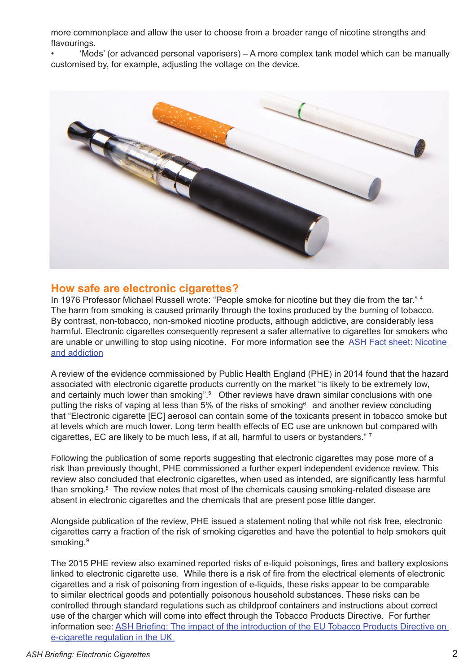more commonplace and allow the user to choose from a broader range of nicotine strengths and flavourings.

• 'Mods' (or advanced personal vaporisers) – A more complex tank model which can be manually customised by, for example, adjusting the voltage on the device.



### **How safe are electronic cigarettes?**

In 1976 Professor Michael Russell wrote: "People smoke for nicotine but they die from the tar." <sup>4</sup> The harm from smoking is caused primarily through the toxins produced by the burning of tobacco. By contrast, non-tobacco, non-smoked nicotine products, although addictive, are considerably less harmful. Electronic cigarettes consequently represent a safer alternative to cigarettes for smokers who are unable or unwilling to stop using nicotine. For more information see the [ASH Fact sheet: Nicotine](http://www.ash.org.uk/download/nicotine-and-addiction/)  [and addiction](http://www.ash.org.uk/download/nicotine-and-addiction/)

A review of the evidence commissioned by Public Health England (PHE) in 2014 found that the hazard associated with electronic cigarette products currently on the market "is likely to be extremely low, and certainly much lower than smoking".<sup>5</sup> Other reviews have drawn similar conclusions with one putting the risks of vaping at less than 5% of the risks of smoking<sup>6</sup> and another review concluding that "Electronic cigarette [EC] aerosol can contain some of the toxicants present in tobacco smoke but at levels which are much lower. Long term health effects of EC use are unknown but compared with cigarettes, EC are likely to be much less, if at all, harmful to users or bystanders."  $^7$ 

Following the publication of some reports suggesting that electronic cigarettes may pose more of a risk than previously thought, PHE commissioned a further expert independent evidence review. This review also concluded that electronic cigarettes, when used as intended, are significantly less harmful than smoking.<sup>8</sup> The review notes that most of the chemicals causing smoking-related disease are absent in electronic cigarettes and the chemicals that are present pose little danger.

Alongside publication of the review, PHE issued a statement noting that while not risk free, electronic cigarettes carry a fraction of the risk of smoking cigarettes and have the potential to help smokers quit smoking.<sup>9</sup>

The 2015 PHE review also examined reported risks of e-liquid poisonings, fires and battery explosions linked to electronic cigarette use. While there is a risk of fire from the electrical elements of electronic cigarettes and a risk of poisoning from ingestion of e-liquids, these risks appear to be comparable to similar electrical goods and potentially poisonous household substances. These risks can be controlled through standard regulations such as childproof containers and instructions about correct use of the charger which will come into effect through the Tobacco Products Directive. For further information see: [ASH Briefing: The impact of the introduction of the EU Tobacco Products Directive on](http://www.ash.org.uk/information-and-resources/briefings/the-impact-of-the-eu-tobacco-products-directive-on-e-cigarette-regulation-in-the-uk-2/)  [e-cigarette regulation in the UK](http://www.ash.org.uk/information-and-resources/briefings/the-impact-of-the-eu-tobacco-products-directive-on-e-cigarette-regulation-in-the-uk-2/)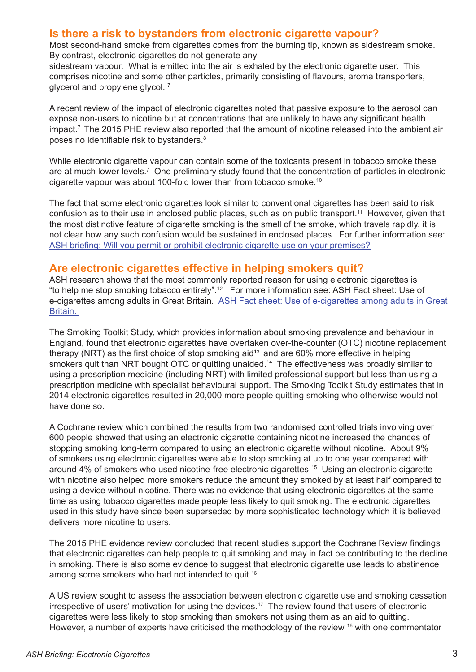## **Is there a risk to bystanders from electronic cigarette vapour?**

Most second-hand smoke from cigarettes comes from the burning tip, known as sidestream smoke. By contrast, electronic cigarettes do not generate any

sidestream vapour. What is emitted into the air is exhaled by the electronic cigarette user. This comprises nicotine and some other particles, primarily consisting of flavours, aroma transporters, glycerol and propylene glycol. 7

A recent review of the impact of electronic cigarettes noted that passive exposure to the aerosol can expose non-users to nicotine but at concentrations that are unlikely to have any significant health impact.7 The 2015 PHE review also reported that the amount of nicotine released into the ambient air poses no identifiable risk to bystanders.<sup>8</sup>

While electronic cigarette vapour can contain some of the toxicants present in tobacco smoke these are at much lower levels.<sup>7</sup> One preliminary study found that the concentration of particles in electronic cigarette vapour was about 100-fold lower than from tobacco smoke.10

The fact that some electronic cigarettes look similar to conventional cigarettes has been said to risk confusion as to their use in enclosed public places, such as on public transport.<sup>11</sup> However, given that the most distinctive feature of cigarette smoking is the smell of the smoke, which travels rapidly, it is not clear how any such confusion would be sustained in enclosed places. For further information see: [ASH briefing: Will you permit or prohibit electronic cigarette use on your premises?](http://www.ash.org.uk/information-and-resources/briefings/will-you-permit-or-prohibit-e-cigarette-use-on-your-premises/)

## **Are electronic cigarettes effective in helping smokers quit?**

ASH research shows that the most commonly reported reason for using electronic cigarettes is "to help me stop smoking tobacco entirely".12 For more information see: ASH Fact sheet: Use of e-cigarettes among adults in Great Britain. ASH Fact sheet: Use of e-cigarettes among adults in Great [Britain.](http://www.ash.org.uk/download/use-of-electronic-cigarettes-among-adults-in-great-britain/) 

The Smoking Toolkit Study, which provides information about smoking prevalence and behaviour in England, found that electronic cigarettes have overtaken over-the-counter (OTC) nicotine replacement therapy (NRT) as the first choice of stop smoking aid<sup>13</sup> and are 60% more effective in helping smokers quit than NRT bought OTC or quitting unaided.<sup>14</sup> The effectiveness was broadly similar to using a prescription medicine (including NRT) with limited professional support but less than using a prescription medicine with specialist behavioural support. The Smoking Toolkit Study estimates that in 2014 electronic cigarettes resulted in 20,000 more people quitting smoking who otherwise would not have done so.

A Cochrane review which combined the results from two randomised controlled trials involving over 600 people showed that using an electronic cigarette containing nicotine increased the chances of stopping smoking long-term compared to using an electronic cigarette without nicotine. About 9% of smokers using electronic cigarettes were able to stop smoking at up to one year compared with around 4% of smokers who used nicotine-free electronic cigarettes.15 Using an electronic cigarette with nicotine also helped more smokers reduce the amount they smoked by at least half compared to using a device without nicotine. There was no evidence that using electronic cigarettes at the same time as using tobacco cigarettes made people less likely to quit smoking. The electronic cigarettes used in this study have since been superseded by more sophisticated technology which it is believed delivers more nicotine to users.

The 2015 PHE evidence review concluded that recent studies support the Cochrane Review findings that electronic cigarettes can help people to quit smoking and may in fact be contributing to the decline in smoking. There is also some evidence to suggest that electronic cigarette use leads to abstinence among some smokers who had not intended to quit.<sup>16</sup>

A US review sought to assess the association between electronic cigarette use and smoking cessation irrespective of users' motivation for using the devices.<sup>17</sup> The review found that users of electronic cigarettes were less likely to stop smoking than smokers not using them as an aid to quitting. However, a number of experts have criticised the methodology of the review <sup>18</sup> with one commentator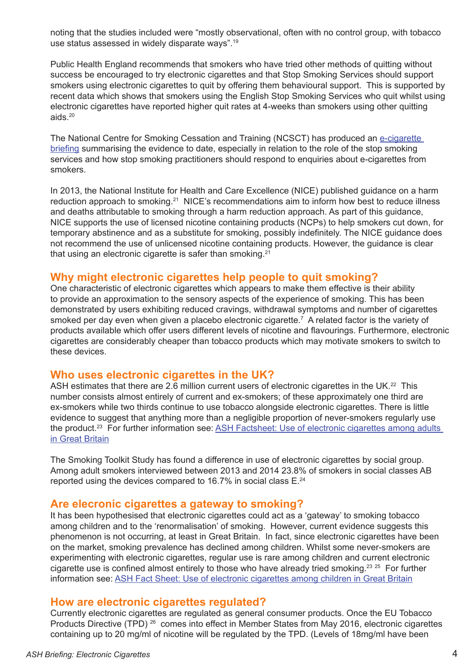noting that the studies included were "mostly observational, often with no control group, with tobacco use status assessed in widely disparate ways".19

Public Health England recommends that smokers who have tried other methods of quitting without success be encouraged to try electronic cigarettes and that Stop Smoking Services should support smokers using electronic cigarettes to quit by offering them behavioural support. This is supported by recent data which shows that smokers using the English Stop Smoking Services who quit whilst using electronic cigarettes have reported higher quit rates at 4-weeks than smokers using other quitting aids.20

The National Centre for Smoking Cessation and Training (NCSCT) has produced an [e-cigarette](http://www.ncsct.co.uk/publication_electronic_cigarette_briefing.php)  [briefing](http://www.ncsct.co.uk/publication_electronic_cigarette_briefing.php) summarising the evidence to date, especially in relation to the role of the stop smoking services and how stop smoking practitioners should respond to enquiries about e-cigarettes from smokers.

In 2013, the National Institute for Health and Care Excellence (NICE) published guidance on a harm reduction approach to smoking.<sup>21</sup> NICE's recommendations aim to inform how best to reduce illness and deaths attributable to smoking through a harm reduction approach. As part of this guidance, NICE supports the use of licensed nicotine containing products (NCPs) to help smokers cut down, for temporary abstinence and as a substitute for smoking, possibly indefinitely. The NICE guidance does not recommend the use of unlicensed nicotine containing products. However, the guidance is clear that using an electronic cigarette is safer than smoking.<sup>21</sup>

#### **Why might electronic cigarettes help people to quit smoking?**

One characteristic of electronic cigarettes which appears to make them effective is their ability to provide an approximation to the sensory aspects of the experience of smoking. This has been demonstrated by users exhibiting reduced cravings, withdrawal symptoms and number of cigarettes smoked per day even when given a placebo electronic cigarette.7 A related factor is the variety of products available which offer users different levels of nicotine and flavourings. Furthermore, electronic cigarettes are considerably cheaper than tobacco products which may motivate smokers to switch to these devices.

## **Who uses electronic cigarettes in the UK?**

ASH estimates that there are 2.6 million current users of electronic cigarettes in the UK.<sup>22</sup> This number consists almost entirely of current and ex-smokers; of these approximately one third are ex-smokers while two thirds continue to use tobacco alongside electronic cigarettes. There is little evidence to suggest that anything more than a negligible proportion of never-smokers regularly use the product.23 For further information see: [ASH Factsheet: Use of electronic cigarettes among adults](http://www.ash.org.uk/download/use-of-electronic-cigarettes-among-adults-in-great-britain/)  [in Great Britain](http://www.ash.org.uk/download/use-of-electronic-cigarettes-among-adults-in-great-britain/)

The Smoking Toolkit Study has found a difference in use of electronic cigarettes by social group. Among adult smokers interviewed between 2013 and 2014 23.8% of smokers in social classes AB reported using the devices compared to 16.7% in social class E.<sup>24</sup>

## **Are elecronic cigarettes a gateway to smoking?**

It has been hypothesised that electronic cigarettes could act as a 'gateway' to smoking tobacco among children and to the 'renormalisation' of smoking. However, current evidence suggests this phenomenon is not occurring, at least in Great Britain. In fact, since electronic cigarettes have been on the market, smoking prevalence has declined among children. Whilst some never-smokers are experimenting with electronic cigarettes, regular use is rare among children and current electronic cigarette use is confined almost entirely to those who have already tried smoking.<sup>23 25</sup> For further information see: [ASH Fact Sheet: Use of electronic cigarettes among children in Great Britain](http://www.ash.org.uk/download/use-of-electronic-cigarettes-among-children-in-great-britain/)

## **How are electronic cigarettes regulated?**

Currently electronic cigarettes are regulated as general consumer products. Once the EU Tobacco Products Directive (TPD)<sup>26</sup> comes into effect in Member States from May 2016, electronic cigarettes containing up to 20 mg/ml of nicotine will be regulated by the TPD. (Levels of 18mg/ml have been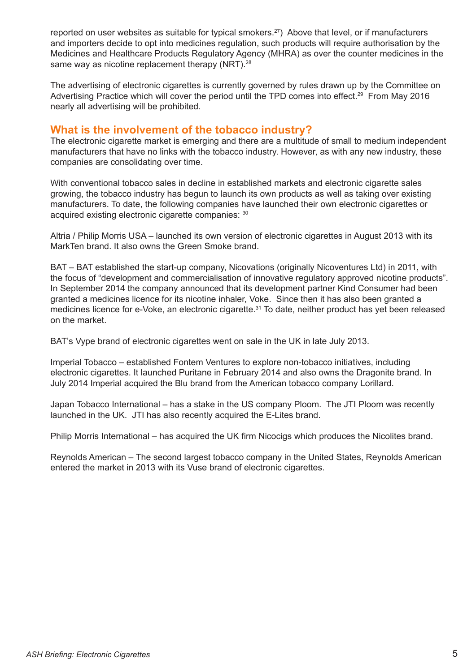reported on user websites as suitable for typical smokers.<sup>27</sup>) Above that level, or if manufacturers and importers decide to opt into medicines regulation, such products will require authorisation by the Medicines and Healthcare Products Regulatory Agency (MHRA) as over the counter medicines in the same way as nicotine replacement therapy (NRT).<sup>28</sup>

The advertising of electronic cigarettes is currently governed by rules drawn up by the Committee on Advertising Practice which will cover the period until the TPD comes into effect.<sup>29</sup> From May 2016 nearly all advertising will be prohibited.

## **What is the involvement of the tobacco industry?**

The electronic cigarette market is emerging and there are a multitude of small to medium independent manufacturers that have no links with the tobacco industry. However, as with any new industry, these companies are consolidating over time.

With conventional tobacco sales in decline in established markets and electronic cigarette sales growing, the tobacco industry has begun to launch its own products as well as taking over existing manufacturers. To date, the following companies have launched their own electronic cigarettes or acquired existing electronic cigarette companies: 30

Altria / Philip Morris USA – launched its own version of electronic cigarettes in August 2013 with its MarkTen brand. It also owns the Green Smoke brand.

BAT – BAT established the start-up company, Nicovations (originally Nicoventures Ltd) in 2011, with the focus of "development and commercialisation of innovative regulatory approved nicotine products". In September 2014 the company announced that its development partner Kind Consumer had been granted a medicines licence for its nicotine inhaler, Voke. Since then it has also been granted a medicines licence for e-Voke, an electronic cigarette.<sup>31</sup> To date, neither product has yet been released on the market.

BAT's Vype brand of electronic cigarettes went on sale in the UK in late July 2013.

Imperial Tobacco – established Fontem Ventures to explore non-tobacco initiatives, including electronic cigarettes. It launched Puritane in February 2014 and also owns the Dragonite brand. In July 2014 Imperial acquired the Blu brand from the American tobacco company Lorillard.

Japan Tobacco International – has a stake in the US company Ploom. The JTI Ploom was recently launched in the UK. JTI has also recently acquired the E-Lites brand.

Philip Morris International – has acquired the UK firm Nicocigs which produces the Nicolites brand.

Reynolds American – The second largest tobacco company in the United States, Reynolds American entered the market in 2013 with its Vuse brand of electronic cigarettes.